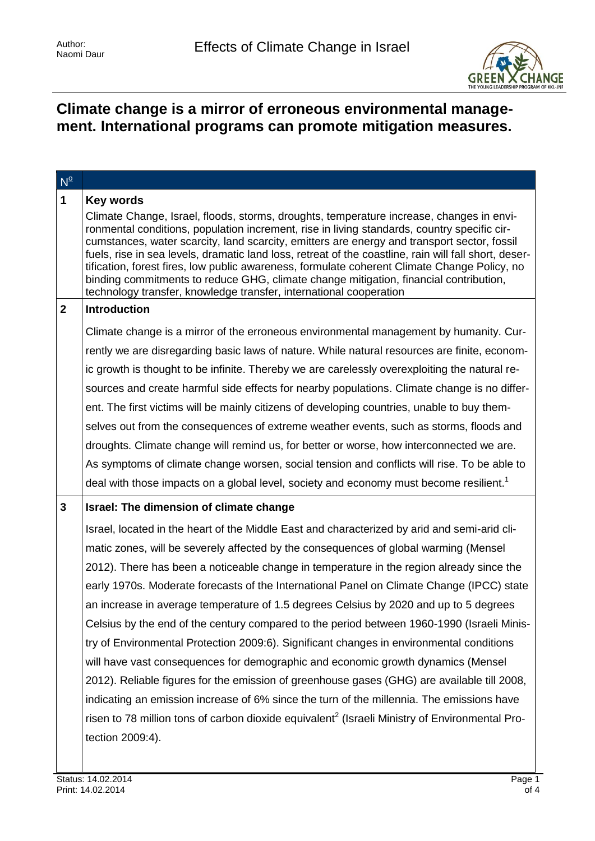

# **Climate change is a mirror of erroneous environmental management. International programs can promote mitigation measures.**

| $N^{\circ}$  |                                                                                                                                                                                                                                                                                                                                                                                                                                                                                                                                                                                                                                                                |
|--------------|----------------------------------------------------------------------------------------------------------------------------------------------------------------------------------------------------------------------------------------------------------------------------------------------------------------------------------------------------------------------------------------------------------------------------------------------------------------------------------------------------------------------------------------------------------------------------------------------------------------------------------------------------------------|
| $\mathbf 1$  | <b>Key words</b>                                                                                                                                                                                                                                                                                                                                                                                                                                                                                                                                                                                                                                               |
|              | Climate Change, Israel, floods, storms, droughts, temperature increase, changes in envi-<br>ronmental conditions, population increment, rise in living standards, country specific cir-<br>cumstances, water scarcity, land scarcity, emitters are energy and transport sector, fossil<br>fuels, rise in sea levels, dramatic land loss, retreat of the coastline, rain will fall short, deser-<br>tification, forest fires, low public awareness, formulate coherent Climate Change Policy, no<br>binding commitments to reduce GHG, climate change mitigation, financial contribution,<br>technology transfer, knowledge transfer, international cooperation |
| $\mathbf{2}$ | <b>Introduction</b>                                                                                                                                                                                                                                                                                                                                                                                                                                                                                                                                                                                                                                            |
|              | Climate change is a mirror of the erroneous environmental management by humanity. Cur-                                                                                                                                                                                                                                                                                                                                                                                                                                                                                                                                                                         |
|              | rently we are disregarding basic laws of nature. While natural resources are finite, econom-                                                                                                                                                                                                                                                                                                                                                                                                                                                                                                                                                                   |
|              | ic growth is thought to be infinite. Thereby we are carelessly overexploiting the natural re-                                                                                                                                                                                                                                                                                                                                                                                                                                                                                                                                                                  |
|              | sources and create harmful side effects for nearby populations. Climate change is no differ-                                                                                                                                                                                                                                                                                                                                                                                                                                                                                                                                                                   |
|              | ent. The first victims will be mainly citizens of developing countries, unable to buy them-                                                                                                                                                                                                                                                                                                                                                                                                                                                                                                                                                                    |
|              | selves out from the consequences of extreme weather events, such as storms, floods and                                                                                                                                                                                                                                                                                                                                                                                                                                                                                                                                                                         |
|              | droughts. Climate change will remind us, for better or worse, how interconnected we are.                                                                                                                                                                                                                                                                                                                                                                                                                                                                                                                                                                       |
|              | As symptoms of climate change worsen, social tension and conflicts will rise. To be able to                                                                                                                                                                                                                                                                                                                                                                                                                                                                                                                                                                    |
|              | deal with those impacts on a global level, society and economy must become resilient. <sup>1</sup>                                                                                                                                                                                                                                                                                                                                                                                                                                                                                                                                                             |
| $\mathbf{3}$ | Israel: The dimension of climate change                                                                                                                                                                                                                                                                                                                                                                                                                                                                                                                                                                                                                        |
|              | Israel, located in the heart of the Middle East and characterized by arid and semi-arid cli-                                                                                                                                                                                                                                                                                                                                                                                                                                                                                                                                                                   |
|              | matic zones, will be severely affected by the consequences of global warming (Mensel                                                                                                                                                                                                                                                                                                                                                                                                                                                                                                                                                                           |
|              | 2012). There has been a noticeable change in temperature in the region already since the                                                                                                                                                                                                                                                                                                                                                                                                                                                                                                                                                                       |
|              | early 1970s. Moderate forecasts of the International Panel on Climate Change (IPCC) state                                                                                                                                                                                                                                                                                                                                                                                                                                                                                                                                                                      |
|              | an increase in average temperature of 1.5 degrees Celsius by 2020 and up to 5 degrees                                                                                                                                                                                                                                                                                                                                                                                                                                                                                                                                                                          |
|              | Celsius by the end of the century compared to the period between 1960-1990 (Israeli Minis-                                                                                                                                                                                                                                                                                                                                                                                                                                                                                                                                                                     |
|              | try of Environmental Protection 2009:6). Significant changes in environmental conditions                                                                                                                                                                                                                                                                                                                                                                                                                                                                                                                                                                       |
|              | will have vast consequences for demographic and economic growth dynamics (Mensel                                                                                                                                                                                                                                                                                                                                                                                                                                                                                                                                                                               |
|              | 2012). Reliable figures for the emission of greenhouse gases (GHG) are available till 2008,                                                                                                                                                                                                                                                                                                                                                                                                                                                                                                                                                                    |
|              | indicating an emission increase of 6% since the turn of the millennia. The emissions have                                                                                                                                                                                                                                                                                                                                                                                                                                                                                                                                                                      |
|              | risen to 78 million tons of carbon dioxide equivalent <sup>2</sup> (Israeli Ministry of Environmental Pro-                                                                                                                                                                                                                                                                                                                                                                                                                                                                                                                                                     |
|              | tection 2009:4).                                                                                                                                                                                                                                                                                                                                                                                                                                                                                                                                                                                                                                               |
|              |                                                                                                                                                                                                                                                                                                                                                                                                                                                                                                                                                                                                                                                                |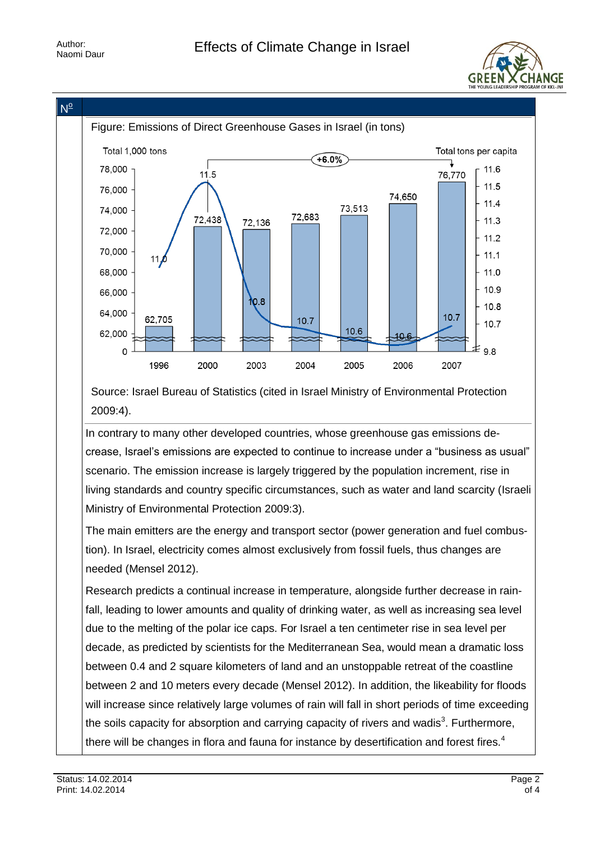



Source: Israel Bureau of Statistics (cited in Israel Ministry of Environmental Protection 2009:4).

In contrary to many other developed countries, whose greenhouse gas emissions decrease, Israel's emissions are expected to continue to increase under a "business as usual" scenario. The emission increase is largely triggered by the population increment, rise in living standards and country specific circumstances, such as water and land scarcity (Israeli Ministry of Environmental Protection 2009:3).

The main emitters are the energy and transport sector (power generation and fuel combustion). In Israel, electricity comes almost exclusively from fossil fuels, thus changes are needed (Mensel 2012).

Research predicts a continual increase in temperature, alongside further decrease in rainfall, leading to lower amounts and quality of drinking water, as well as increasing sea level due to the melting of the polar ice caps. For Israel a ten centimeter rise in sea level per decade, as predicted by scientists for the Mediterranean Sea, would mean a dramatic loss between 0.4 and 2 square kilometers of land and an unstoppable retreat of the coastline between 2 and 10 meters every decade (Mensel 2012). In addition, the likeability for floods will increase since relatively large volumes of rain will fall in short periods of time exceeding the soils capacity for absorption and carrying capacity of rivers and wadis<sup>3</sup>. Furthermore, there will be changes in flora and fauna for instance by desertification and forest fires.<sup>4</sup>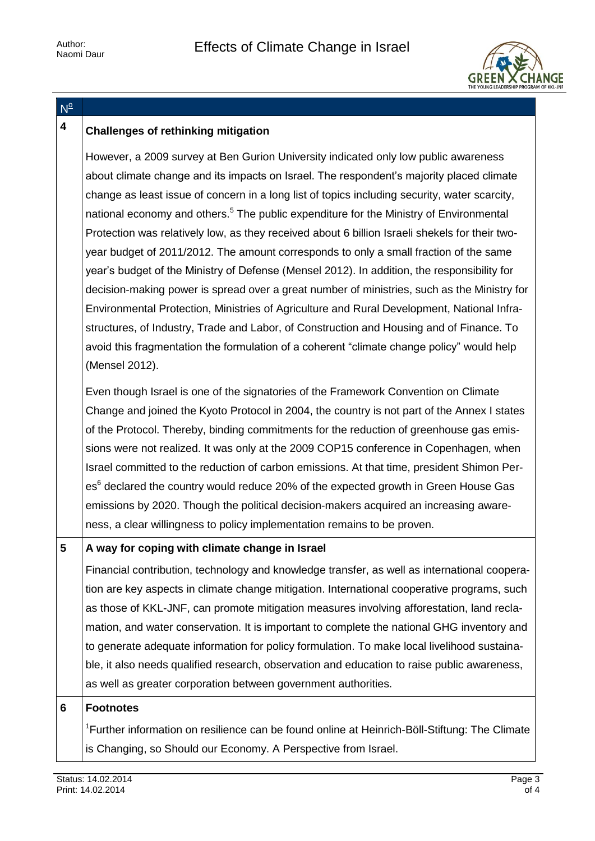

### $N^{\circ}$

## **4 Challenges of rethinking mitigation**

However, a 2009 survey at Ben Gurion University indicated only low public awareness about climate change and its impacts on Israel. The respondent's majority placed climate change as least issue of concern in a long list of topics including security, water scarcity, national economy and others.<sup>5</sup> The public expenditure for the Ministry of Environmental Protection was relatively low, as they received about 6 billion Israeli shekels for their twoyear budget of 2011/2012. The amount corresponds to only a small fraction of the same year's budget of the Ministry of Defense (Mensel 2012). In addition, the responsibility for decision-making power is spread over a great number of ministries, such as the Ministry for Environmental Protection, Ministries of Agriculture and Rural Development, National Infrastructures, of Industry, Trade and Labor, of Construction and Housing and of Finance. To avoid this fragmentation the formulation of a coherent "climate change policy" would help (Mensel 2012). Even though Israel is one of the signatories of the Framework Convention on Climate Change and joined the Kyoto Protocol in 2004, the country is not part of the Annex I states of the Protocol. Thereby, binding commitments for the reduction of greenhouse gas emissions were not realized. It was only at the 2009 COP15 conference in Copenhagen, when Israel committed to the reduction of carbon emissions. At that time, president Shimon Per-

es<sup>6</sup> declared the country would reduce 20% of the expected growth in Green House Gas emissions by 2020. Though the political decision-makers acquired an increasing awareness, a clear willingness to policy implementation remains to be proven.

### **5 A way for coping with climate change in Israel**

Financial contribution, technology and knowledge transfer, as well as international cooperation are key aspects in climate change mitigation. International cooperative programs, such as those of KKL-JNF, can promote mitigation measures involving afforestation, land reclamation, and water conservation. It is important to complete the national GHG inventory and to generate adequate information for policy formulation. To make local livelihood sustainable, it also needs qualified research, observation and education to raise public awareness, as well as greater corporation between government authorities.

#### **6 Footnotes**

<sup>1</sup>Further information on resilience can be found online at Heinrich-Böll-Stiftung: The Climate is Changing, so Should our Economy. A Perspective from Israel.